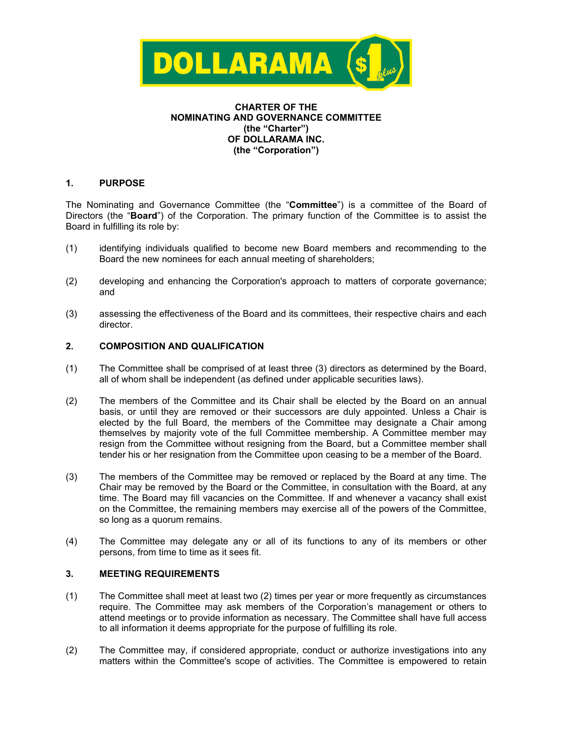

## **CHARTER OF THE NOMINATING AND GOVERNANCE COMMITTEE (the "Charter") OF DOLLARAMA INC. (the "Corporation")**

# **1. PURPOSE**

The Nominating and Governance Committee (the "**Committee**") is a committee of the Board of Directors (the "**Board**") of the Corporation. The primary function of the Committee is to assist the Board in fulfilling its role by:

- (1) identifying individuals qualified to become new Board members and recommending to the Board the new nominees for each annual meeting of shareholders;
- (2) developing and enhancing the Corporation's approach to matters of corporate governance; and
- (3) assessing the effectiveness of the Board and its committees, their respective chairs and each director.

# **2. COMPOSITION AND QUALIFICATION**

- (1) The Committee shall be comprised of at least three (3) directors as determined by the Board, all of whom shall be independent (as defined under applicable securities laws).
- (2) The members of the Committee and its Chair shall be elected by the Board on an annual basis, or until they are removed or their successors are duly appointed. Unless a Chair is elected by the full Board, the members of the Committee may designate a Chair among themselves by majority vote of the full Committee membership. A Committee member may resign from the Committee without resigning from the Board, but a Committee member shall tender his or her resignation from the Committee upon ceasing to be a member of the Board.
- (3) The members of the Committee may be removed or replaced by the Board at any time. The Chair may be removed by the Board or the Committee, in consultation with the Board, at any time. The Board may fill vacancies on the Committee. If and whenever a vacancy shall exist on the Committee, the remaining members may exercise all of the powers of the Committee, so long as a quorum remains.
- (4) The Committee may delegate any or all of its functions to any of its members or other persons, from time to time as it sees fit.

### **3. MEETING REQUIREMENTS**

- (1) The Committee shall meet at least two (2) times per year or more frequently as circumstances require. The Committee may ask members of the Corporation's management or others to attend meetings or to provide information as necessary. The Committee shall have full access to all information it deems appropriate for the purpose of fulfilling its role.
- (2) The Committee may, if considered appropriate, conduct or authorize investigations into any matters within the Committee's scope of activities. The Committee is empowered to retain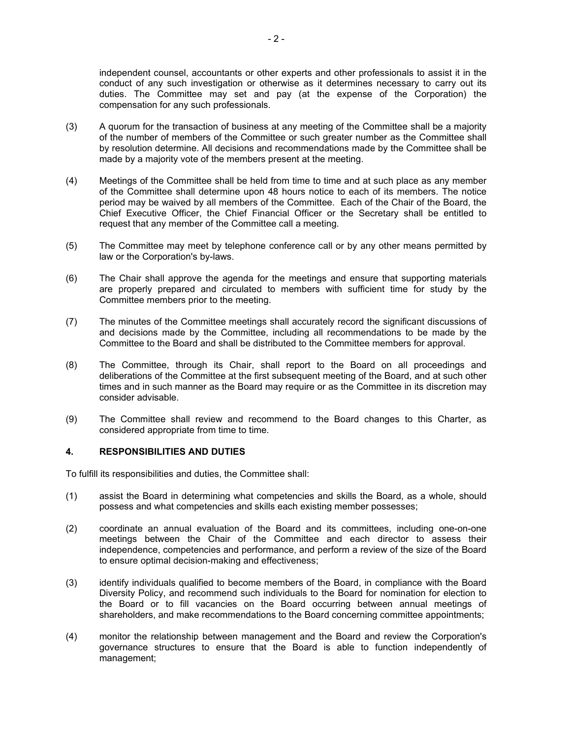independent counsel, accountants or other experts and other professionals to assist it in the conduct of any such investigation or otherwise as it determines necessary to carry out its duties. The Committee may set and pay (at the expense of the Corporation) the compensation for any such professionals.

- (3) A quorum for the transaction of business at any meeting of the Committee shall be a majority of the number of members of the Committee or such greater number as the Committee shall by resolution determine. All decisions and recommendations made by the Committee shall be made by a majority vote of the members present at the meeting.
- (4) Meetings of the Committee shall be held from time to time and at such place as any member of the Committee shall determine upon 48 hours notice to each of its members. The notice period may be waived by all members of the Committee. Each of the Chair of the Board, the Chief Executive Officer, the Chief Financial Officer or the Secretary shall be entitled to request that any member of the Committee call a meeting.
- (5) The Committee may meet by telephone conference call or by any other means permitted by law or the Corporation's by-laws.
- (6) The Chair shall approve the agenda for the meetings and ensure that supporting materials are properly prepared and circulated to members with sufficient time for study by the Committee members prior to the meeting.
- (7) The minutes of the Committee meetings shall accurately record the significant discussions of and decisions made by the Committee, including all recommendations to be made by the Committee to the Board and shall be distributed to the Committee members for approval.
- (8) The Committee, through its Chair, shall report to the Board on all proceedings and deliberations of the Committee at the first subsequent meeting of the Board, and at such other times and in such manner as the Board may require or as the Committee in its discretion may consider advisable.
- (9) The Committee shall review and recommend to the Board changes to this Charter, as considered appropriate from time to time.

### **4. RESPONSIBILITIES AND DUTIES**

To fulfill its responsibilities and duties, the Committee shall:

- (1) assist the Board in determining what competencies and skills the Board, as a whole, should possess and what competencies and skills each existing member possesses;
- (2) coordinate an annual evaluation of the Board and its committees, including one-on-one meetings between the Chair of the Committee and each director to assess their independence, competencies and performance, and perform a review of the size of the Board to ensure optimal decision-making and effectiveness;
- (3) identify individuals qualified to become members of the Board, in compliance with the Board Diversity Policy, and recommend such individuals to the Board for nomination for election to the Board or to fill vacancies on the Board occurring between annual meetings of shareholders, and make recommendations to the Board concerning committee appointments;
- (4) monitor the relationship between management and the Board and review the Corporation's governance structures to ensure that the Board is able to function independently of management;